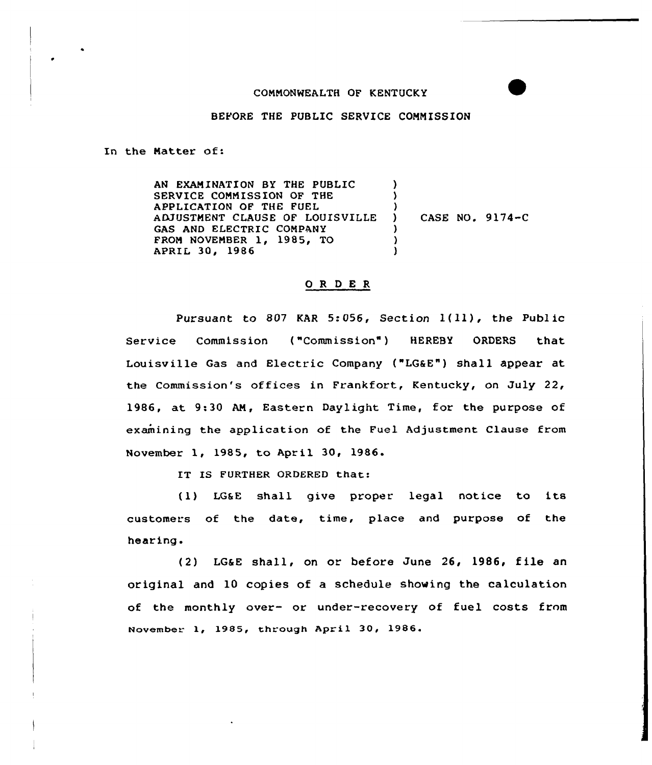## COMMONWEALTH OF KENTUCKY

## BEFORE THE PUBLIC SERVICE COMM ISSION

In the Matter of:

AN EXAMINATION BY THE PUBLIC SERVICE COMMISSION OF THE APPLICATION OF THE FUEL ADJUSTMENT CLAUSE OF LOUISVILLE GAS AND ELECTRIC COMPANY FROM NOVEMBER 1, 1985, TO APRIL 30, 1986 ) ) )  $)$  CASE NO. 9174-C ) ) )

## ORDER

Pursuant to <sup>807</sup> KAR 5:056, Section 1(ll), the Public Service Commission ("Commission") HEREBY ORDERS that Louisville Gas and Electric Company ("LGaE") shall appear at the Commission's offices in Frankfort, Kentucky, on July 22, 1986, at 9:30 AM, Eastern Daylight Time, for the purpose of examining the application of the Fuel Adjustment Clause from November 1, 1985, to April 30, 1986.

IT IS FURTHER ORDERED that:

(1) LG&E shall give proper legal notice to its customers of the date, time, place and purpose of the hearing.

(2) LG&E shall, on or before June 26, 1986, file an original and 10 copies of a schedule shoving the calculation of the monthly over- or under-recovery of fuel costs from November 1, 1985, through April 30, 1986.